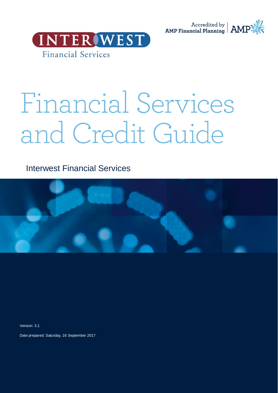



# Financial Services and Credit Guide

Interwest Financial Services



Version: 3.1

Date prepared: Saturday, 16 September 2017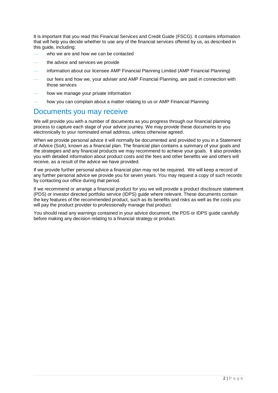It is important that you read this Financial Services and Credit Guide (FSCG). It contains information that will help you decide whether to use any of the financial services offered by us, as described in this guide, including:

- who we are and how we can be contacted
- the advice and services we provide
- information about our licensee AMP Financial Planning Limited (AMP Financial Planning)
- our fees and how we, your adviser and AMP Financial Planning, are paid in connection with those services
- how we manage your private information
- how you can complain about a matter relating to us or AMP Financial Planning

### Documents you may receive

We will provide you with a number of documents as you progress through our financial planning process to capture each stage of your advice journey. We may provide these documents to you electronically to your nominated email address, unless otherwise agreed.

When we provide personal advice it will normally be documented and provided to you in a Statement of Advice (SoA), known as a financial plan. The financial plan contains a summary of your goals and the strategies and any financial products we may recommend to achieve your goals. It also provides you with detailed information about product costs and the fees and other benefits we and others will receive, as a result of the advice we have provided.

If we provide further personal advice a financial plan may not be required. We will keep a record of any further personal advice we provide you for seven years. You may request a copy of such records by contacting our office during that period.

If we recommend or arrange a financial product for you we will provide a product disclosure statement (PDS) or investor directed portfolio service (IDPS) guide where relevant. These documents contain the key features of the recommended product, such as its benefits and risks as well as the costs you will pay the product provider to professionally manage that product.

You should read any warnings contained in your advice document, the PDS or IDPS guide carefully before making any decision relating to a financial strategy or product.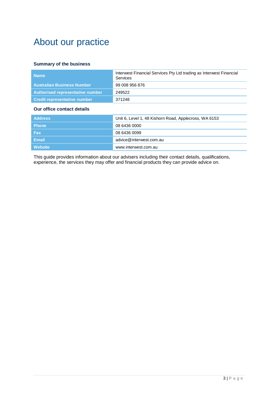# About our practice

### **Summary of the business**

| <b>Name</b>                             | Interwest Financial Services Pty Ltd trading as Interwest Financial<br>Services |  |
|-----------------------------------------|---------------------------------------------------------------------------------|--|
| <b>Australian Business Number</b>       | 99 008 956 876                                                                  |  |
| <b>Authorised representative number</b> | 249522                                                                          |  |
| <b>Credit representative number</b>     | 371248                                                                          |  |
| Our office contact details              |                                                                                 |  |
| <b>Address</b>                          | Unit 6, Level 1, 48 Kishorn Road, Applecross, WA 6153                           |  |
| <b>Phone</b>                            | 08 6436 0000                                                                    |  |
| <b>Fax</b>                              | 08 6436 0099                                                                    |  |
| <b>Email</b>                            | advice@interwest.com.au                                                         |  |
| <b>Website</b>                          | www.interwest.com.au                                                            |  |

This guide provides information about our advisers including their contact details, qualifications, experience, the services they may offer and financial products they can provide advice on.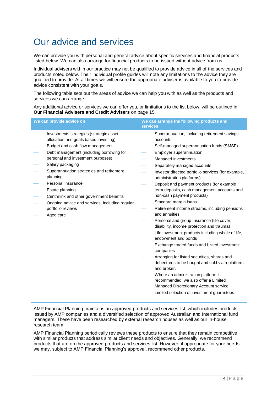# Our advice and services

We can provide you with personal and general advice about specific services and financial products listed below. We can also arrange for financial products to be issued without advice from us.

Individual advisers within our practice may not be qualified to provide advice in all of the services and products noted below. Their individual profile guides will note any limitations to the advice they are qualified to provide. At all times we will ensure the appropriate adviser is available to you to provide advice consistent with your goals.

The following table sets out the areas of advice we can help you with as well as the products and services we can arrange.

Any additional advice or services we can offer you, or limitations to the list below, will be outlined in **Our Financial Advisers and Credit Advisers** on page [15.](#page-14-0)

| We can provide advice on |                                                                                  | We can arrange the following products and<br><b>services</b> |                                                                                                                      |
|--------------------------|----------------------------------------------------------------------------------|--------------------------------------------------------------|----------------------------------------------------------------------------------------------------------------------|
|                          | Investments strategies (strategic asset<br>allocation and goals based investing) |                                                              | Superannuation, including retirement savings<br>accounts                                                             |
|                          | Budget and cash flow management                                                  |                                                              | Self-managed superannuation funds (SMSF)                                                                             |
|                          | Debt management (including borrowing for                                         |                                                              | Employer superannuation                                                                                              |
|                          | personal and investment purposes)                                                |                                                              | Managed investments                                                                                                  |
|                          | Salary packaging                                                                 |                                                              | Separately managed accounts                                                                                          |
|                          | Superannuation strategies and retirement<br>planning                             |                                                              | Investor directed portfolio services (for example,<br>administration platforms)                                      |
|                          | Personal insurance                                                               |                                                              | Deposit and payment products (for example                                                                            |
|                          | Estate planning                                                                  |                                                              | term deposits, cash management accounts and                                                                          |
|                          | Centrelink and other government benefits                                         |                                                              | non-cash payment products)                                                                                           |
|                          | Ongoing advice and services, including regular                                   |                                                              | Standard margin loans                                                                                                |
|                          | portfolio reviews<br>Aged care                                                   |                                                              | Retirement income streams, including pensions<br>and annuities                                                       |
|                          |                                                                                  |                                                              | Personal and group Insurance (life cover,<br>disability, income protection and trauma)                               |
|                          |                                                                                  |                                                              | Life investment products including whole of life,<br>endowment and bonds                                             |
|                          |                                                                                  |                                                              | Exchange traded funds and Listed investment<br>companies                                                             |
|                          |                                                                                  |                                                              | Arranging for listed securities, shares and<br>debentures to be bought and sold via a platform<br>and broker.        |
|                          |                                                                                  |                                                              | Where an administration platform is<br>recommended, we also offer a Limited<br>Managed Discretionary Account service |
|                          |                                                                                  |                                                              | Limited selection of investment guarantees                                                                           |

AMP Financial Planning maintains an approved products and services list, which includes products issued by AMP companies and a diversified selection of approved Australian and International fund managers. These have been researched by external research houses as well as our in-house research team.

AMP Financial Planning periodically reviews these products to ensure that they remain competitive with similar products that address similar client needs and objectives. Generally, we recommend products that are on the approved products and services list. However, if appropriate for your needs, we may, subject to AMP Financial Planning's approval, recommend other products.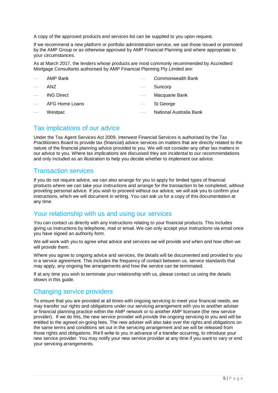A copy of the approved products and services list can be supplied to you upon request.

If we recommend a new platform or portfolio administration service, we use those issued or promoted by the AMP Group or as otherwise approved by AMP Financial Planning and where appropriate to your circumstances.

As at March 2017, the lenders whose products are most commonly recommended by Accredited Mortgage Consultants authorised by AMP Financial Planning Pty Limited are:

- AMP Bank
- ANZ
- ING Direct
- AFG Home Loans

Macquarie Bank

Suncorp

St George

**Westpac** 

National Australia Bank

Commonwealth Bank

### Tax implications of our advice

Under the Tax Agent Services Act 2009, Interwest Financial Services is authorised by the Tax Practitioners Board to provide tax (financial) advice services on matters that are directly related to the nature of the financial planning advice provided to you. We will not consider any other tax matters in our advice to you. Where tax implications are discussed they are incidental to our recommendations and only included as an illustration to help you decide whether to implement our advice.

### Transaction services

If you do not require advice, we can also arrange for you to apply for limited types of financial products where we can take your instructions and arrange for the transaction to be completed, without providing personal advice. If you wish to proceed without our advice, we will ask you to confirm your instructions, which we will document in writing. You can ask us for a copy of this documentation at any time.

### Your relationship with us and using our services

You can contact us directly with any instructions relating to your financial products. This includes giving us instructions by telephone, mail or email. We can only accept your instructions via email once you have signed an authority form.

We will work with you to agree what advice and services we will provide and when and how often we will provide them.

Where you agree to ongoing advice and services, the details will be documented and provided to you in a service agreement. This includes the frequency of contact between us, service standards that may apply, any ongoing fee arrangements and how the service can be terminated.

If at any time you wish to terminate your relationship with us, please contact us using the details shown in this quide.

### Changing service providers

To ensure that you are provided at all times with ongoing servicing to meet your financial needs, we may transfer our rights and obligations under our servicing arrangement with you to another adviser or financial planning practice within the AMP network or to another AMP licensee (the new service provider). If we do this, the new service provider will provide the ongoing servicing to you and will be entitled to the agreed on-going fees. The new adviser will also take over the rights and obligations on the same terms and conditions set out in the servicing arrangement and we will be released from those rights and obligations. We'll write to you in advance of a transfer occurring, to introduce your new service provider. You may notify your new service provider at any time if you want to vary or end your servicing arrangements.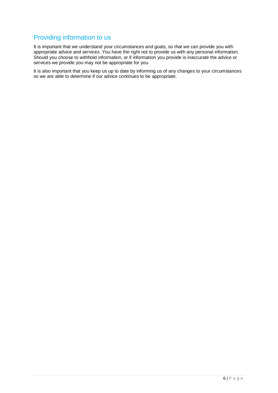### Providing information to us

It is important that we understand your circumstances and goals, so that we can provide you with appropriate advice and services. You have the right not to provide us with any personal information. Should you choose to withhold information, or if information you provide is inaccurate the advice or services we provide you may not be appropriate for you.

It is also important that you keep us up to date by informing us of any changes to your circumstances so we are able to determine if our advice continues to be appropriate.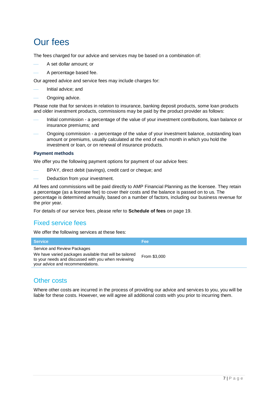# Our fees

The fees charged for our advice and services may be based on a combination of:

- A set dollar amount; or
- A percentage based fee.

Our agreed advice and service fees may include charges for:

- Initial advice; and
- Ongoing advice.

Please note that for services in relation to insurance, banking deposit products, some loan products and older investment products, commissions may be paid by the product provider as follows:

- Initial commission a percentage of the value of your investment contributions, loan balance or insurance premiums; and
- Ongoing commission a percentage of the value of your investment balance, outstanding loan amount or premiums, usually calculated at the end of each month in which you hold the investment or loan, or on renewal of insurance products.

### **Payment methods**

We offer you the following payment options for payment of our advice fees:

- BPAY, direct debit (savings), credit card or cheque; and
- Deduction from your investment.

All fees and commissions will be paid directly to AMP Financial Planning as the licensee. They retain a percentage (as a licensee fee) to cover their costs and the balance is passed on to us. The percentage is determined annually, based on a number of factors, including our business revenue for the prior year.

For details of our service fees, please refer to **Schedule of fees** on page [19.](#page-18-0)

### Fixed service fees

We offer the following services at these fees:

| <b>Service</b>                                                                                                                                                                    | <b>Fee</b>   |
|-----------------------------------------------------------------------------------------------------------------------------------------------------------------------------------|--------------|
| Service and Review Packages<br>We have varied packages available that will be tailored<br>to your needs and discussed with you when reviewing<br>your advice and recommendations. | From \$3,000 |

### Other costs

Where other costs are incurred in the process of providing our advice and services to you, you will be liable for these costs. However, we will agree all additional costs with you prior to incurring them.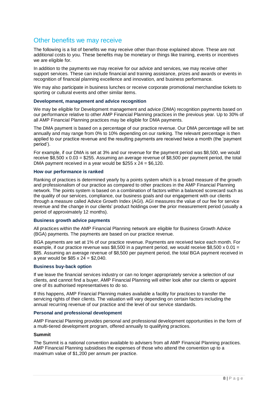### Other benefits we may receive

The following is a list of benefits we may receive other than those explained above. These are not additional costs to you. These benefits may be monetary or things like training, events or incentives we are eligible for.

In addition to the payments we may receive for our advice and services, we may receive other support services. These can include financial and training assistance, prizes and awards or events in recognition of financial planning excellence and innovation, and business performance.

We may also participate in business lunches or receive corporate promotional merchandise tickets to sporting or cultural events and other similar items.

### **Development, management and advice recognition**

We may be eligible for Development management and advice (DMA) recognition payments based on our performance relative to other AMP Financial Planning practices in the previous year. Up to 30% of all AMP Financial Planning practices may be eligible for DMA payments.

The DMA payment is based on a percentage of our practice revenue. Our DMA percentage will be set annually and may range from 0% to 10% depending on our ranking. The relevant percentage is then applied to our practice revenue and the resulting payments are received twice a month (the 'payment period').

For example, if our DMA is set at 3% and our revenue for the payment period was \$8,500, we would receive \$8,500 x 0.03 = \$255. Assuming an average revenue of \$8,500 per payment period, the total DMA payment received in a year would be \$255 x 24 = \$6,120.

#### **How our performance is ranked**

Ranking of practices is determined yearly by a points system which is a broad measure of the growth and professionalism of our practice as compared to other practices in the AMP Financial Planning network. The points system is based on a combination of factors within a balanced scorecard such as the quality of our services, compliance, our business goals and our engagement with our clients through a measure called Advice Growth Index (AGI). AGI measures the value of our fee for service revenue and the change in our clients' product holdings over the prior measurement period (usually a period of approximately 12 months).

### **Business growth advice payments**

All practices within the AMP Financial Planning network are eligible for Business Growth Advice (BGA) payments. The payments are based on our practice revenue.

BGA payments are set at 1% of our practice revenue. Payments are received twice each month. For example, if our practice revenue was \$8,500 in a payment period, we would receive \$8,500  $\times$  0.01 = \$85. Assuming an average revenue of \$8,500 per payment period, the total BGA payment received in a year would be \$85 x 24 = \$2,040.

### **Business buy-back option**

If we leave the financial services industry or can no longer appropriately service a selection of our clients, and cannot find a buyer, AMP Financial Planning will either look after our clients or appoint one of its authorised representatives to do so.

If this happens, AMP Financial Planning makes available a facility for practices to transfer the servicing rights of their clients. The valuation will vary depending on certain factors including the annual recurring revenue of our practice and the level of our service standards.

#### **Personal and professional development**

AMP Financial Planning provides personal and professional development opportunities in the form of a multi-tiered development program, offered annually to qualifying practices.

### **Summit**

The Summit is a national convention available to advisers from all AMP Financial Planning practices. AMP Financial Planning subsidises the expenses of those who attend the convention up to a maximum value of \$1,200 per annum per practice.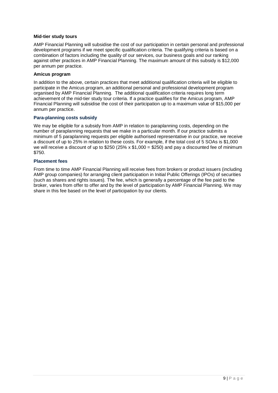### **Mid-tier study tours**

AMP Financial Planning will subsidise the cost of our participation in certain personal and professional development programs if we meet specific qualification criteria. The qualifying criteria is based on a combination of factors including the quality of our services, our business goals and our ranking against other practices in AMP Financial Planning. The maximum amount of this subsidy is \$12,000 per annum per practice.

### **Amicus program**

In addition to the above, certain practices that meet additional qualification criteria will be eligible to participate in the Amicus program, an additional personal and professional development program organised by AMP Financial Planning. The additional qualification criteria requires long term achievement of the mid-tier study tour criteria. If a practice qualifies for the Amicus program, AMP Financial Planning will subsidise the cost of their participation up to a maximum value of \$15,000 per annum per practice.

### **Para-planning costs subsidy**

We may be eligible for a subsidy from AMP in relation to paraplanning costs, depending on the number of paraplanning requests that we make in a particular month. If our practice submits a minimum of 5 paraplanning requests per eligible authorised representative in our practice, we receive a discount of up to 25% in relation to these costs. For example, if the total cost of 5 SOAs is \$1,000 we will receive a discount of up to \$250 (25% x \$1,000 = \$250) and pay a discounted fee of minimum \$750.

### **Placement fees**

From time to time AMP Financial Planning will receive fees from brokers or product issuers (including AMP group companies) for arranging client participation in Initial Public Offerings (IPOs) of securities (such as shares and rights issues). The fee, which is generally a percentage of the fee paid to the broker, varies from offer to offer and by the level of participation by AMP Financial Planning. We may share in this fee based on the level of participation by our clients.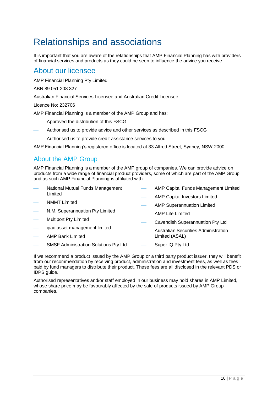# Relationships and associations

It is important that you are aware of the relationships that AMP Financial Planning has with providers of financial services and products as they could be seen to influence the advice you receive.

### About our licensee

AMP Financial Planning Pty Limited

ABN 89 051 208 327

Australian Financial Services Licensee and Australian Credit Licensee

Licence No: 232706

AMP Financial Planning is a member of the AMP Group and has:

- Approved the distribution of this FSCG
- Authorised us to provide advice and other services as described in this FSCG
- Authorised us to provide credit assistance services to you

AMP Financial Planning's registered office is located at 33 Alfred Street, Sydney, NSW 2000.

### About the AMP Group

AMP Financial Planning is a member of the AMP group of companies. We can provide advice on products from a wide range of financial product providers, some of which are part of the AMP Group and as such AMP Financial Planning is affiliated with:

| $\overline{\phantom{m}}$ | National Mutual Funds Management             |  | AMP Capital Funds Management Limited        |  |  |
|--------------------------|----------------------------------------------|--|---------------------------------------------|--|--|
|                          | Limited                                      |  | <b>AMP Capital Investors Limited</b>        |  |  |
|                          | <b>NMMT</b> Limited                          |  | <b>AMP Superannuation Limited</b>           |  |  |
| $\overline{\phantom{m}}$ | N.M. Superannuation Pty Limited              |  | AMP Life Limited                            |  |  |
| $\overline{\phantom{m}}$ | <b>Multiport Pty Limited</b>                 |  | Cavendish Superannuation Pty Ltd            |  |  |
|                          | ipac asset management limited                |  | <b>Australian Securities Administration</b> |  |  |
|                          | <b>AMP Bank Limited</b>                      |  | Limited (ASAL)                              |  |  |
|                          | <b>SMSF Administration Solutions Pty Ltd</b> |  | Super IQ Pty Ltd                            |  |  |

If we recommend a product issued by the AMP Group or a third party product issuer, they will benefit from our recommendation by receiving product, administration and investment fees, as well as fees paid by fund managers to distribute their product. These fees are all disclosed in the relevant PDS or IDPS guide.

Authorised representatives and/or staff employed in our business may hold shares in AMP Limited, whose share price may be favourably affected by the sale of products issued by AMP Group companies.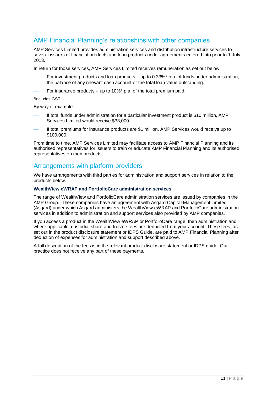### AMP Financial Planning's relationships with other companies

AMP Services Limited provides administration services and distribution infrastructure services to several issuers of financial products and loan products under agreements entered into prior to 1 July 2013.

In return for those services, AMP Services Limited receives remuneration as set out below:

- For investment products and loan products up to 0.33%\* p.a. of funds under administration, the balance of any relevant cash account or the total loan value outstanding.
- For insurance products up to 10%\* p.a. of the total premium paid.

#### \*includes GST

By way of example:

- If total funds under administration for a particular investment product is \$10 million, AMP Services Limited would receive \$33,000.
- If total premiums for insurance products are \$1 million, AMP Services would receive up to \$100,000.

From time to time, AMP Services Limited may facilitate access to AMP Financial Planning and its authorised representatives for issuers to train or educate AMP Financial Planning and its authorised representatives on their products.

### Arrangements with platform providers

We have arrangements with third parties for administration and support services in relation to the products below.

### **WealthView eWRAP and PortfolioCare administration services**

The range of WealthView and PortfolioCare administration services are issued by companies in the AMP Group. These companies have an agreement with Asgard Capital Management Limited (Asgard) under which Asgard administers the WealthView eWRAP and PortfolioCare administration services in addition to administration and support services also provided by AMP companies.

If you access a product in the WealthView eWRAP or PortfolioCare range, then administration and, where applicable, custodial share and trustee fees are deducted from your account. These fees, as set out in the product disclosure statement or IDPS Guide, are paid to AMP Financial Planning after deduction of expenses for administration and support described above.

A full description of the fees is in the relevant product disclosure statement or IDPS guide. Our practice does not receive any part of these payments.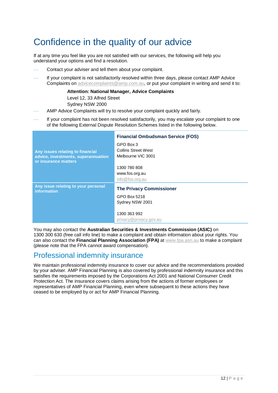# Confidence in the quality of our advice

If at any time you feel like you are not satisfied with our services, the following will help you understand your options and find a resolution.

- Contact your adviser and tell them about your complaint.
- If your complaint is not satisfactorily resolved within three days, please contact AMP Advice Complaints on [advicecomplaints@amp.com.au,](mailto:advicecomplaints@amp.com.au) or put your complaint in writing and send it to:

**Attention: National Manager, Advice Complaints** Level 12, 33 Alfred Street

Sydney NSW 2000

- 
- AMP Advice Complaints will try to resolve your complaint quickly and fairly.
- If your complaint has not been resolved satisfactorily, you may escalate your complaint to one of the following External Dispute Resolution Schemes listed in the following below.

|                                                             | <b>Financial Ombudsman Service (FOS)</b> |
|-------------------------------------------------------------|------------------------------------------|
|                                                             | GPO Box 3                                |
| Any issues relating to financial                            | <b>Collins Street West</b>               |
| advice, investments, superannuation<br>or insurance matters | Melbourne VIC 3001                       |
|                                                             | 1300 780 808                             |
|                                                             | www.fos.org.au                           |
|                                                             | info@fos.org.au                          |
| Any issue relating to your personal<br><b>information</b>   | <b>The Privacy Commissioner</b>          |
|                                                             | GPO Box 5218                             |
|                                                             | Sydney NSW 2001                          |
|                                                             | 1300 363 992                             |
|                                                             | privacy@privacy.gov.au                   |

You may also contact the **Australian Securities & Investments Commission (ASIC)** on 1300 300 630 (free call info line) to make a complaint and obtain information about your rights. You can also contact the **Financial Planning Association (FPA)** at [www.fpa.asn.au](http://www.fpa.asn.au/) to make a complaint (please note that the FPA cannot award compensation).

# Professional indemnity insurance

We maintain professional indemnity insurance to cover our advice and the recommendations provided by your adviser. AMP Financial Planning is also covered by professional indemnity insurance and this satisfies the requirements imposed by the Corporations Act 2001 and National Consumer Credit Protection Act. The insurance covers claims arising from the actions of former employees or representatives of AMP Financial Planning, even where subsequent to these actions they have ceased to be employed by or act for AMP Financial Planning.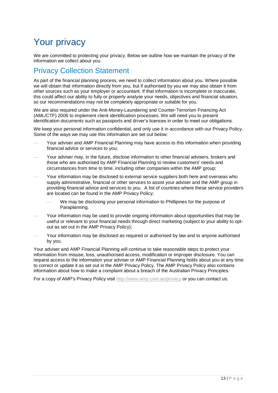# Your privacy

We are committed to protecting your privacy. Below we outline how we maintain the privacy of the information we collect about you.

# Privacy Collection Statement

As part of the financial planning process, we need to collect information about you. Where possible we will obtain that information directly from you, but if authorised by you we may also obtain it from other sources such as your employer or accountant. If that information is incomplete or inaccurate, this could affect our ability to fully or properly analyse your needs, objectives and financial situation, so our recommendations may not be completely appropriate or suitable for you.

We are also required under the Anti-Money-Laundering and Counter-Terrorism Financing Act (AML/CTF) 2006 to implement client identification processes. We will need you to present identification documents such as passports and driver's licences in order to meet our obligations.

We keep your personal information confidential, and only use it in accordance with our Privacy Policy. Some of the ways we may use this information are set out below:

- Your adviser and AMP Financial Planning may have access to this information when providing financial advice or services to you;
- Your adviser may, in the future, disclose information to other financial advisers, brokers and those who are authorised by AMP Financial Planning to review customers' needs and circumstances from time to time, including other companies within the AMP group;
- Your information may be disclosed to external service suppliers both here and overseas who supply administrative, financial or other services to assist your adviser and the AMP group in providing financial advice and services to you. A list of countries where these service providers are located can be found in the AMP Privacy Policy;
	- We may be disclosing your personal information to Phillipines for the purpose of Paraplanning.
- Your information may be used to provide ongoing information about opportunities that may be useful or relevant to your financial needs through direct marketing (subject to your ability to optout as set out in the AMP Privacy Policy);
- Your information may be disclosed as required or authorised by law and to anyone authorised by you.

Your adviser and AMP Financial Planning will continue to take reasonable steps to protect your information from misuse, loss, unauthorised access, modification or improper disclosure. You can request access to the information your adviser or AMP Financial Planning holds about you at any time to correct or update it as set out in the AMP Privacy Policy. The AMP Privacy Policy also contains information about how to make a complaint about a breach of the Australian Privacy Principles.

For a copy of AMP's Privacy Policy visit<http://www.amp.com.au/privacy> or you can contact us.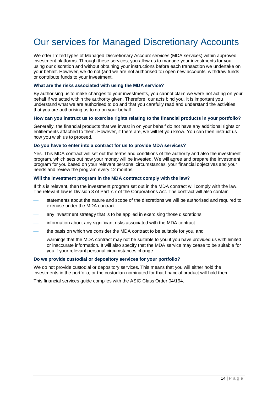# Our services for Managed Discretionary Accounts

We offer limited types of Managed Discretionary Account services (MDA services) within approved investment platforms. Through these services, you allow us to manage your investments for you, using our discretion and without obtaining your instructions before each transaction we undertake on your behalf. However, we do not (and we are not authorised to) open new accounts, withdraw funds or contribute funds to your investment.

#### **What are the risks associated with using the MDA service?**

By authorising us to make changes to your investments, you cannot claim we were not acting on your behalf if we acted within the authority given. Therefore, our acts bind you. It is important you understand what we are authorised to do and that you carefully read and understand the activities that you are authorising us to do on your behalf.

#### **How can you instruct us to exercise rights relating to the financial products in your portfolio?**

Generally, the financial products that we invest in on your behalf do not have any additional rights or entitlements attached to them. However, if there are, we will let you know. You can then instruct us how you wish us to proceed.

#### **Do you have to enter into a contract for us to provide MDA services?**

Yes. This MDA contract will set out the terms and conditions of the authority and also the investment program, which sets out how your money will be invested. We will agree and prepare the investment program for you based on your relevant personal circumstances, your financial objectives and your needs and review the program every 12 months.

#### **Will the investment program in the MDA contract comply with the law?**

If this is relevant, then the investment program set out in the MDA contract will comply with the law. The relevant law is Division 3 of Part 7.7 of the Corporations Act. The contract will also contain:

- statements about the nature and scope of the discretions we will be authorised and required to exercise under the MDA contract
- any investment strategy that is to be applied in exercising those discretions
- information about any significant risks associated with the MDA contract
- the basis on which we consider the MDA contract to be suitable for you, and
- warnings that the MDA contract may not be suitable to you if you have provided us with limited or inaccurate information. It will also specify that the MDA service may cease to be suitable for you if your relevant personal circumstances change.

#### **Do we provide custodial or depository services for your portfolio?**

We do not provide custodial or depository services. This means that you will either hold the investments in the portfolio, or the custodian nominated for that financial product will hold them.

This financial services guide complies with the ASIC Class Order 04/194.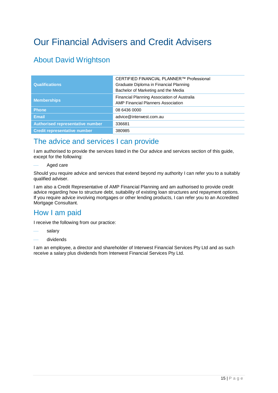# <span id="page-14-0"></span>Our Financial Advisers and Credit Advisers

# About David Wrightson

| <b>Qualifications</b>               | CERTIFIED FINANCIAL PLANNER™ Professional<br>Graduate Diploma in Financial Planning<br>Bachelor of Marketing and the Media |
|-------------------------------------|----------------------------------------------------------------------------------------------------------------------------|
| <b>Memberships</b>                  | Financial Planning Association of Australia<br><b>AMP Financial Planners Association</b>                                   |
| <b>Phone</b>                        | 08 6436 0000                                                                                                               |
| <b>Email</b>                        | advice@interwest.com.au                                                                                                    |
| Authorised representative number    | 336681                                                                                                                     |
| <b>Credit representative number</b> | 380985                                                                                                                     |

# The advice and services I can provide

I am authorised to provide the services listed in the Our advice and services section of this guide, except for the following:

Aged care

Should you require advice and services that extend beyond my authority I can refer you to a suitably qualified adviser.

I am also a Credit Representative of AMP Financial Planning and am authorised to provide credit advice regarding how to structure debt, suitability of existing loan structures and repayment options. If you require advice involving mortgages or other lending products, I can refer you to an Accredited Mortgage Consultant.

# How I am paid

I receive the following from our practice:

- salary
- dividends

I am an employee, a director and shareholder of Interwest Financial Services Pty Ltd and as such receive a salary plus dividends from Interwest Financial Services Pty Ltd.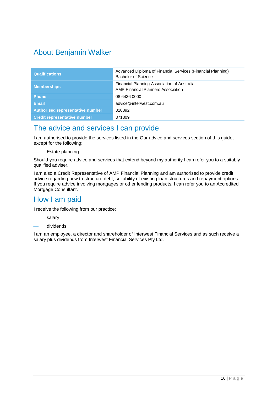# About Benjamin Walker

| <b>Qualifications</b>                   | Advanced Diploma of Financial Services (Financial Planning)<br>Bachelor of Science       |
|-----------------------------------------|------------------------------------------------------------------------------------------|
| <b>Memberships</b>                      | Financial Planning Association of Australia<br><b>AMP Financial Planners Association</b> |
| <b>Phone</b>                            | 08 6436 0000                                                                             |
| <b>Email</b>                            | advice@interwest.com.au                                                                  |
| <b>Authorised representative number</b> | 310392                                                                                   |
| <b>Credit representative number</b>     | 371809                                                                                   |

### The advice and services I can provide

I am authorised to provide the services listed in the Our advice and services section of this guide, except for the following:

Estate planning

Should you require advice and services that extend beyond my authority I can refer you to a suitably qualified adviser.

I am also a Credit Representative of AMP Financial Planning and am authorised to provide credit advice regarding how to structure debt, suitability of existing loan structures and repayment options. If you require advice involving mortgages or other lending products, I can refer you to an Accredited Mortgage Consultant.

# How I am paid

I receive the following from our practice:

- salary
- dividends

I am an employee, a director and shareholder of Interwest Financial Services and as such receive a salary plus dividends from Interwest Financial Services Pty Ltd.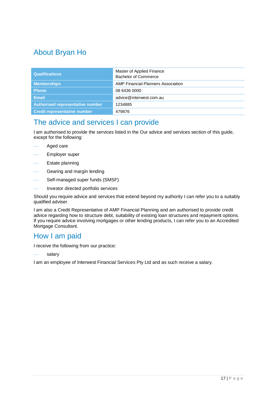# About Bryan Ho

| <b>Qualifications</b>               | Master of Applied Finance<br>Bachelor of Commerce |
|-------------------------------------|---------------------------------------------------|
| <b>Memberships</b>                  | AMP Financial Planners Association                |
| <b>Phone</b>                        | 08 6436 0000                                      |
| <b>Email</b>                        | advice@interwest.com.au                           |
| Authorised representative number    | 1234885                                           |
| <b>Credit representative number</b> | 479876                                            |

### The advice and services I can provide

I am authorised to provide the services listed in the Our advice and services section of this guide, except for the following:

- Aged care
- Employer super
- Estate planning
- Gearing and margin lending
- Self-managed super funds (SMSF)
- Investor directed portfolio services

Should you require advice and services that extend beyond my authority I can refer you to a suitably qualified adviser.

I am also a Credit Representative of AMP Financial Planning and am authorised to provide credit advice regarding how to structure debt, suitability of existing loan structures and repayment options. If you require advice involving mortgages or other lending products, I can refer you to an Accredited Mortgage Consultant.

### How I am paid

I receive the following from our practice:

salary

I am an employee of Interwest Financial Services Pty Ltd and as such receive a salary.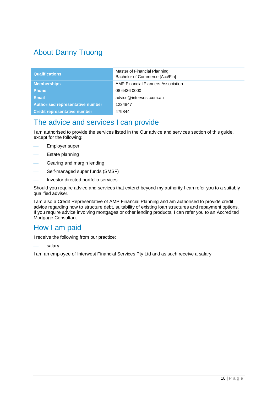# About Danny Truong

| <b>Qualifications</b>                   | Master of Financial Planning<br>Bachelor of Commerce [Acc/Fin] |
|-----------------------------------------|----------------------------------------------------------------|
| <b>Memberships</b>                      | <b>AMP Financial Planners Association</b>                      |
| <b>Phone</b>                            | 08 6436 0000                                                   |
| <b>Email</b>                            | advice@interwest.com.au                                        |
| <b>Authorised representative number</b> | 1234847                                                        |
| <b>Credit representative number</b>     | 479844                                                         |

### The advice and services I can provide

I am authorised to provide the services listed in the Our advice and services section of this guide, except for the following:

- Employer super
- Estate planning
- Gearing and margin lending
- Self-managed super funds (SMSF)
- Investor directed portfolio services

Should you require advice and services that extend beyond my authority I can refer you to a suitably qualified adviser.

I am also a Credit Representative of AMP Financial Planning and am authorised to provide credit advice regarding how to structure debt, suitability of existing loan structures and repayment options. If you require advice involving mortgages or other lending products, I can refer you to an Accredited Mortgage Consultant.

### How I am paid

I receive the following from our practice:

salary

I am an employee of Interwest Financial Services Pty Ltd and as such receive a salary.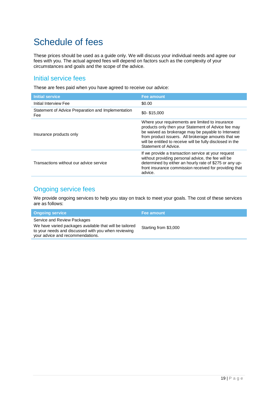# <span id="page-18-0"></span>Schedule of fees

These prices should be used as a guide only. We will discuss your individual needs and agree our fees with you. The actual agreed fees will depend on factors such as the complexity of your circumstances and goals and the scope of the advice.

### Initial service fees

These are fees paid when you have agreed to receive our advice:

| <b>Initial service</b>                                    | <b>Fee amount</b>                                                                                                                                                                                                                                                                                          |
|-----------------------------------------------------------|------------------------------------------------------------------------------------------------------------------------------------------------------------------------------------------------------------------------------------------------------------------------------------------------------------|
| Initial Interview Fee                                     | \$0.00                                                                                                                                                                                                                                                                                                     |
| Statement of Advice Preparation and Implementation<br>Fee | $$0-$15.000$                                                                                                                                                                                                                                                                                               |
| Insurance products only                                   | Where your requirements are limited to insurance<br>products only then your Statement of Advice fee may<br>be waived as brokerage may be payable to Interwest<br>from product issuers. All brokerage amounts that we<br>will be entitled to receive will be fully disclosed in the<br>Statement of Advice. |
| Transactions without our advice service                   | If we provide a transaction service at your request<br>without providing personal advice, the fee will be<br>determined by either an hourly rate of \$275 or any up-<br>front insurance commission received for providing that<br>advice.                                                                  |

### Ongoing service fees

We provide ongoing services to help you stay on track to meet your goals. The cost of these services are as follows:

| <b>Ongoing service</b>                                                                                                                                                            | Fee amount            |
|-----------------------------------------------------------------------------------------------------------------------------------------------------------------------------------|-----------------------|
| Service and Review Packages<br>We have varied packages available that will be tailored<br>to your needs and discussed with you when reviewing<br>your advice and recommendations. | Starting from \$3,000 |